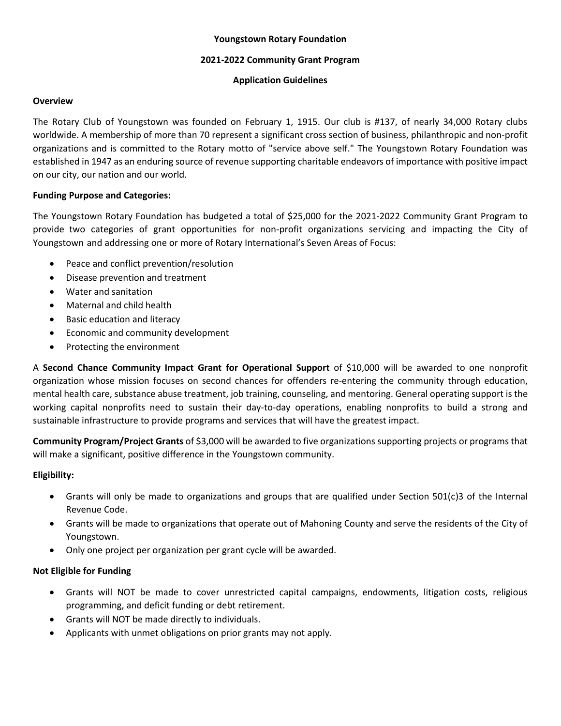# **Youngstown Rotary Foundation**

#### **2021-2022 Community Grant Program**

#### **Application Guidelines**

#### **Overview**

The Rotary Club of Youngstown was founded on February 1, 1915. Our club is #137, of nearly 34,000 Rotary clubs worldwide. A membership of more than 70 represent a significant cross section of business, philanthropic and non-profit organizations and is committed to the Rotary motto of "service above self." The Youngstown Rotary Foundation was established in 1947 as an enduring source of revenue supporting charitable endeavors of importance with positive impact on our city, our nation and our world.

# **Funding Purpose and Categories:**

The Youngstown Rotary Foundation has budgeted a total of \$25,000 for the 2021-2022 Community Grant Program to provide two categories of grant opportunities for non-profit organizations servicing and impacting the City of Youngstown and addressing one or more of Rotary International's Seven Areas of Focus:

- Peace and conflict prevention/resolution
- Disease prevention and treatment
- Water and sanitation
- Maternal and child health
- Basic education and literacy
- Economic and community development
- Protecting the environment

A **Second Chance Community Impact Grant for Operational Support** of \$10,000 will be awarded to one nonprofit organization whose mission focuses on second chances for offenders re-entering the community through education, mental health care, substance abuse treatment, job training, counseling, and mentoring. General operating support is the working capital nonprofits need to sustain their day-to-day operations, enabling nonprofits to build a strong and sustainable infrastructure to provide programs and services that will have the greatest impact.

**Community Program/Project Grants** of \$3,000 will be awarded to five organizations supporting projects or programs that will make a significant, positive difference in the Youngstown community.

# **Eligibility:**

- Grants will only be made to organizations and groups that are qualified under Section 501(c)3 of the Internal Revenue Code.
- Grants will be made to organizations that operate out of Mahoning County and serve the residents of the City of Youngstown.
- Only one project per organization per grant cycle will be awarded.

# **Not Eligible for Funding**

- Grants will NOT be made to cover unrestricted capital campaigns, endowments, litigation costs, religious programming, and deficit funding or debt retirement.
- Grants will NOT be made directly to individuals.
- Applicants with unmet obligations on prior grants may not apply.